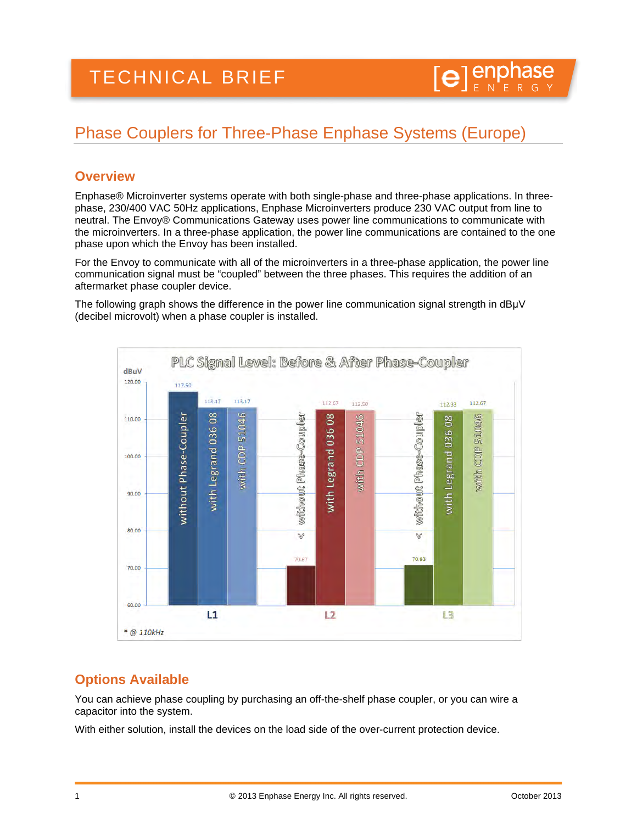# Phase Couplers for Three-Phase Enphase Systems (Europe)

#### **Overview**

Enphase® Microinverter systems operate with both single-phase and three-phase applications. In threephase, 230/400 VAC 50Hz applications, Enphase Microinverters produce 230 VAC output from line to neutral. The Envoy® Communications Gateway uses power line communications to communicate with the microinverters. In a three-phase application, the power line communications are contained to the one phase upon which the Envoy has been installed.

For the Envoy to communicate with all of the microinverters in a three-phase application, the power line communication signal must be "coupled" between the three phases. This requires the addition of an aftermarket phase coupler device.

The following graph shows the difference in the power line communication signal strength in dBµV (decibel microvolt) when a phase coupler is installed.



## **Options Available**

You can achieve phase coupling by purchasing an off-the-shelf phase coupler, or you can wire a capacitor into the system.

With either solution, install the devices on the load side of the over-current protection device.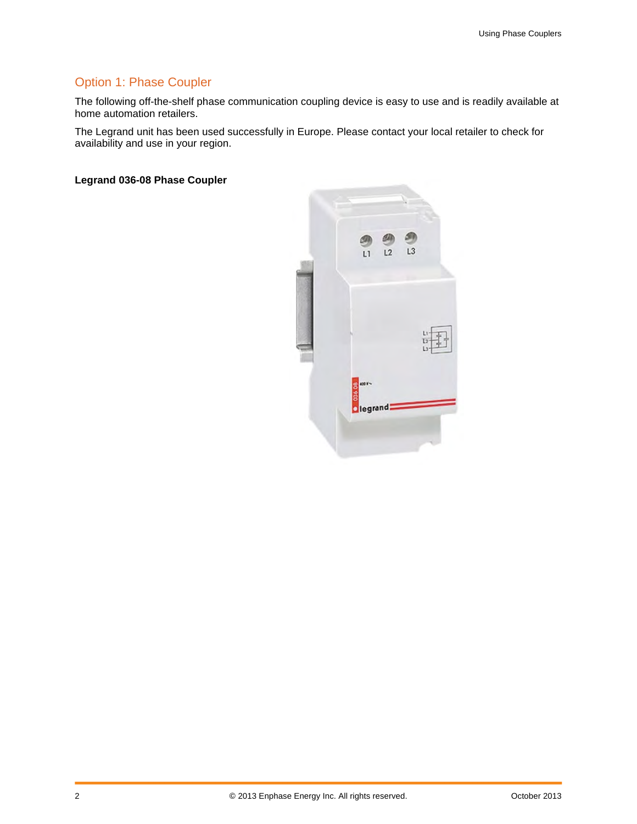## Option 1: Phase Coupler

The following off-the-shelf phase communication coupling device is easy to use and is readily available at home automation retailers.

The Legrand unit has been used successfully in Europe. Please contact your local retailer to check for availability and use in your region.

**Legrand 036-08 Phase Coupler**